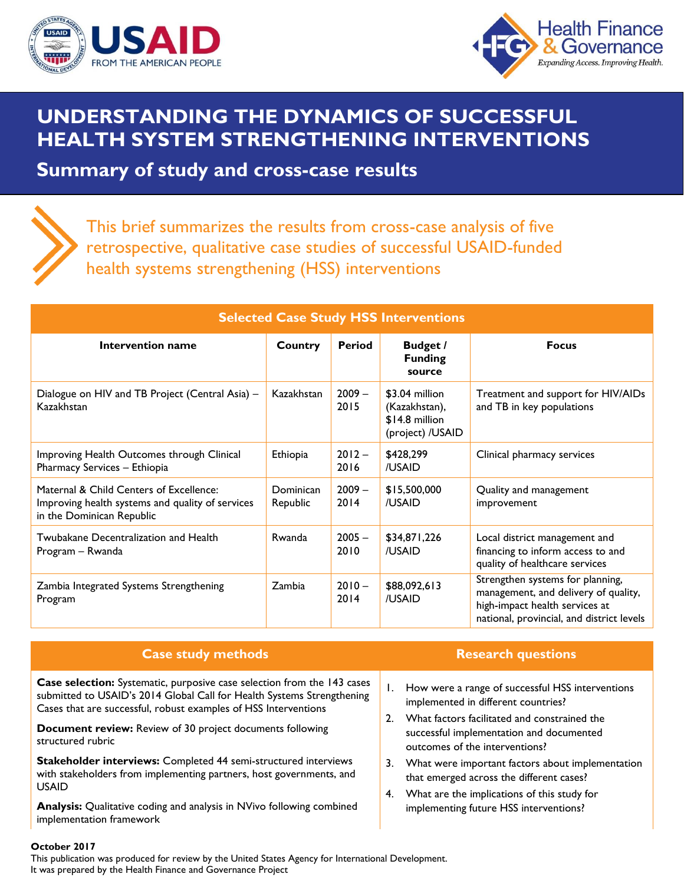



## **UNDERSTANDING THE DYNAMICS OF SUCCESSFUL HEALTH SYSTEM STRENGTHENING INTERVENTIONS**

**Summary of study and cross-case results**



This brief summarizes the results from cross-case analysis of five retrospective, qualitative case studies of successful USAID-funded health systems strengthening (HSS) interventions

| <b>Selected Case Study HSS Interventions</b>                                                                             |                       |                  |                                                                       |                                                                                                                                                         |  |  |  |
|--------------------------------------------------------------------------------------------------------------------------|-----------------------|------------------|-----------------------------------------------------------------------|---------------------------------------------------------------------------------------------------------------------------------------------------------|--|--|--|
| Intervention name                                                                                                        | <b>Country</b>        | Period           | Budget /<br><b>Funding</b><br>source                                  | <b>Focus</b>                                                                                                                                            |  |  |  |
| Dialogue on HIV and TB Project (Central Asia) -<br>Kazakhstan                                                            | Kazakhstan            | $2009 -$<br>2015 | \$3.04 million<br>(Kazakhstan),<br>\$14.8 million<br>(project) /USAID | Treatment and support for HIV/AIDs<br>and TB in key populations                                                                                         |  |  |  |
| Improving Health Outcomes through Clinical<br>Pharmacy Services - Ethiopia                                               | Ethiopia              | $2012 -$<br>2016 | \$428,299<br>/USAID                                                   | Clinical pharmacy services                                                                                                                              |  |  |  |
| Maternal & Child Centers of Excellence:<br>Improving health systems and quality of services<br>in the Dominican Republic | Dominican<br>Republic | $2009 -$<br>2014 | \$15,500,000<br>/USAID                                                | Quality and management<br>improvement                                                                                                                   |  |  |  |
| Twubakane Decentralization and Health<br>Program – Rwanda                                                                | <b>R</b> wanda        | $2005 -$<br>2010 | \$34,871,226<br>/USAID                                                | Local district management and<br>financing to inform access to and<br>quality of healthcare services                                                    |  |  |  |
| Zambia Integrated Systems Strengthening<br>Program                                                                       | Zambia                | $2010 -$<br>2014 | \$88,092,613<br>/USAID                                                | Strengthen systems for planning,<br>management, and delivery of quality,<br>high-impact health services at<br>national, provincial, and district levels |  |  |  |

| <b>Case study methods</b>                                                                                                                                                                                                                                                                                     |          | <b>Research questions</b>                                                                                                                                                                                             |
|---------------------------------------------------------------------------------------------------------------------------------------------------------------------------------------------------------------------------------------------------------------------------------------------------------------|----------|-----------------------------------------------------------------------------------------------------------------------------------------------------------------------------------------------------------------------|
| Case selection: Systematic, purposive case selection from the 143 cases<br>submitted to USAID's 2014 Global Call for Health Systems Strengthening<br>Cases that are successful, robust examples of HSS Interventions<br><b>Document review:</b> Review of 30 project documents following<br>structured rubric |          | How were a range of successful HSS interventions<br>implemented in different countries?<br>What factors facilitated and constrained the<br>successful implementation and documented<br>outcomes of the interventions? |
| Stakeholder interviews: Completed 44 semi-structured interviews<br>with stakeholders from implementing partners, host governments, and<br><b>USAID</b>                                                                                                                                                        | 3.<br>4. | What were important factors about implementation<br>that emerged across the different cases?<br>What are the implications of this study for                                                                           |
| Analysis: Qualitative coding and analysis in NVivo following combined                                                                                                                                                                                                                                         |          | implementing future HSS interventions?                                                                                                                                                                                |

**October 2017** 

implementation framework

This publication was produced for review by the United States Agency for International Development. It was prepared by the Health Finance and Governance Project